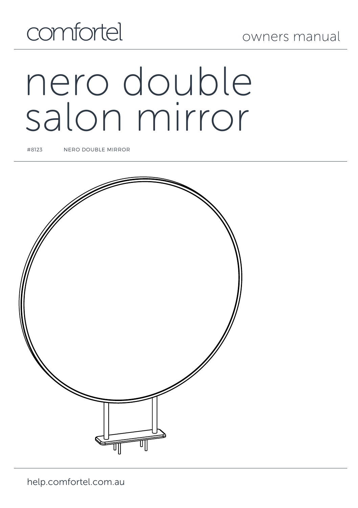# comfortel

## owners manual

# nero double salon mirror

#8123 NERO DOUBLE MIRROR

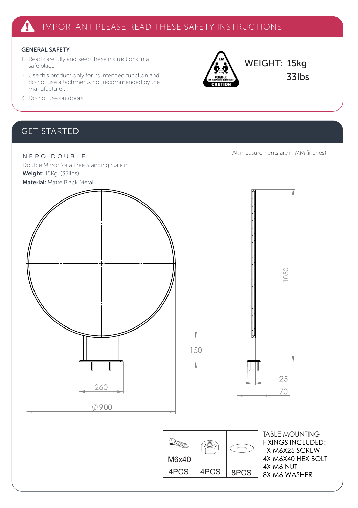#### GENERAL SAFETY

- 1. Read carefully and keep these instructions in a safe place.
- 2. Use this product only for its intended function and do not use attachments not recommended by the manufacturer.



WEIGHT: 15kg 33Ibs

3. Do not use outdoors.

### GET STARTED

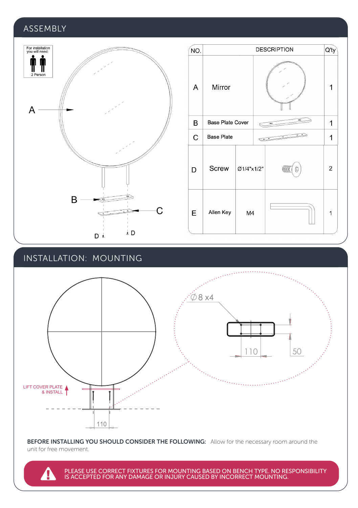#### **ASSEMBLY**



#### INSTALLATION: MOUNTING

4



BEFORE INSTALLING YOU SHOULD CONSIDER THE FOLLOWING: Allow for the necessary room around the unit for free movement.

PLEASE USE CORRECT FIXTURES FOR MOUNTING BASED ON BENCH TYPE. NO RESPONSIBILITY<br>IS ACCEPTED FOR ANY DAMAGE OR INJURY CAUSED BY INCORRECT MOUNTING.